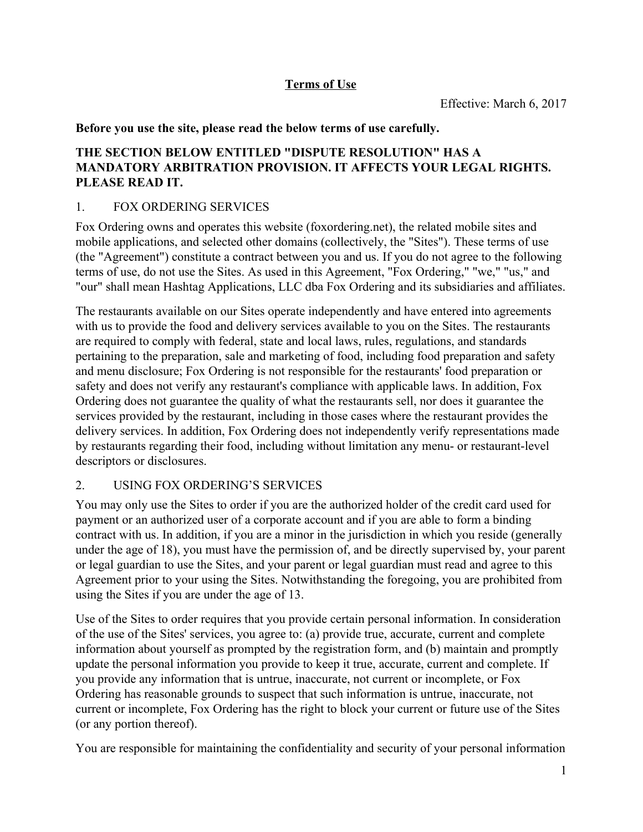## **Terms of Use**

**Before you use the site, please read the below terms of use carefully.**

## **THE SECTION BELOW ENTITLED "DISPUTE RESOLUTION" HAS A MANDATORY ARBITRATION PROVISION. IT AFFECTS YOUR LEGAL RIGHTS. PLEASE READ IT.**

## 1. FOX ORDERING SERVICES

Fox Ordering owns and operates this website (foxordering.net), the related mobile sites and mobile applications, and selected other domains (collectively, the "Sites"). These terms of use (the "Agreement") constitute a contract between you and us. If you do not agree to the following terms of use, do not use the Sites. As used in this Agreement, "Fox Ordering," "we," "us," and "our" shall mean Hashtag Applications, LLC dba Fox Ordering and its subsidiaries and affiliates.

The restaurants available on our Sites operate independently and have entered into agreements with us to provide the food and delivery services available to you on the Sites. The restaurants are required to comply with federal, state and local laws, rules, regulations, and standards pertaining to the preparation, sale and marketing of food, including food preparation and safety and menu disclosure; Fox Ordering is not responsible for the restaurants' food preparation or safety and does not verify any restaurant's compliance with applicable laws. In addition, Fox Ordering does not guarantee the quality of what the restaurants sell, nor does it guarantee the services provided by the restaurant, including in those cases where the restaurant provides the delivery services. In addition, Fox Ordering does not independently verify representations made by restaurants regarding their food, including without limitation any menu- or restaurant-level descriptors or disclosures.

# 2. USING FOX ORDERING'S SERVICES

You may only use the Sites to order if you are the authorized holder of the credit card used for payment or an authorized user of a corporate account and if you are able to form a binding contract with us. In addition, if you are a minor in the jurisdiction in which you reside (generally under the age of 18), you must have the permission of, and be directly supervised by, your parent or legal guardian to use the Sites, and your parent or legal guardian must read and agree to this Agreement prior to your using the Sites. Notwithstanding the foregoing, you are prohibited from using the Sites if you are under the age of 13.

Use of the Sites to order requires that you provide certain personal information. In consideration of the use of the Sites' services, you agree to: (a) provide true, accurate, current and complete information about yourself as prompted by the registration form, and (b) maintain and promptly update the personal information you provide to keep it true, accurate, current and complete. If you provide any information that is untrue, inaccurate, not current or incomplete, or Fox Ordering has reasonable grounds to suspect that such information is untrue, inaccurate, not current or incomplete, Fox Ordering has the right to block your current or future use of the Sites (or any portion thereof).

You are responsible for maintaining the confidentiality and security of your personal information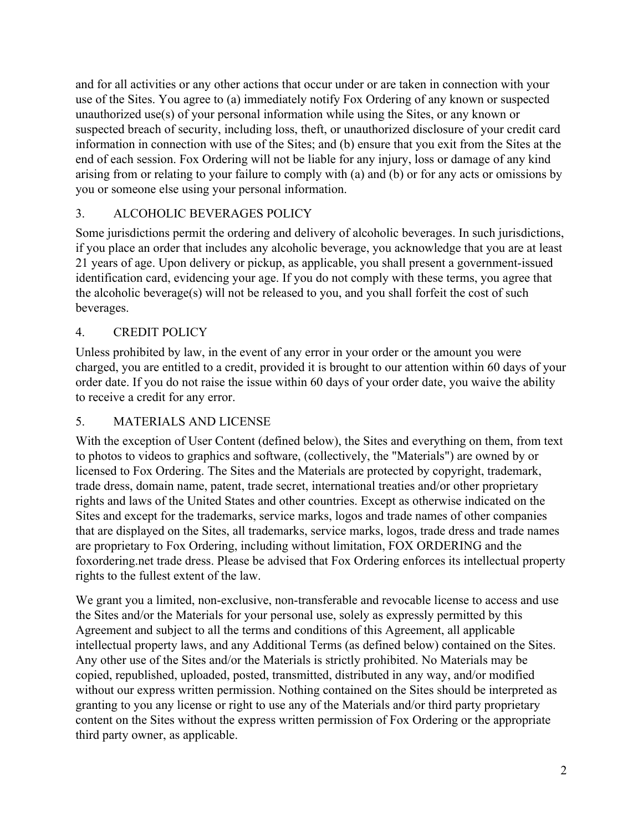and for all activities or any other actions that occur under or are taken in connection with your use of the Sites. You agree to (a) immediately notify Fox Ordering of any known or suspected unauthorized use(s) of your personal information while using the Sites, or any known or suspected breach of security, including loss, theft, or unauthorized disclosure of your credit card information in connection with use of the Sites; and (b) ensure that you exit from the Sites at the end of each session. Fox Ordering will not be liable for any injury, loss or damage of any kind arising from or relating to your failure to comply with (a) and (b) or for any acts or omissions by you or someone else using your personal information.

# 3. ALCOHOLIC BEVERAGES POLICY

Some jurisdictions permit the ordering and delivery of alcoholic beverages. In such jurisdictions, if you place an order that includes any alcoholic beverage, you acknowledge that you are at least 21 years of age. Upon delivery or pickup, as applicable, you shall present a government-issued identification card, evidencing your age. If you do not comply with these terms, you agree that the alcoholic beverage(s) will not be released to you, and you shall forfeit the cost of such beverages.

# 4. CREDIT POLICY

Unless prohibited by law, in the event of any error in your order or the amount you were charged, you are entitled to a credit, provided it is brought to our attention within 60 days of your order date. If you do not raise the issue within 60 days of your order date, you waive the ability to receive a credit for any error.

## 5. MATERIALS AND LICENSE

With the exception of User Content (defined below), the Sites and everything on them, from text to photos to videos to graphics and software, (collectively, the "Materials") are owned by or licensed to Fox Ordering. The Sites and the Materials are protected by copyright, trademark, trade dress, domain name, patent, trade secret, international treaties and/or other proprietary rights and laws of the United States and other countries. Except as otherwise indicated on the Sites and except for the trademarks, service marks, logos and trade names of other companies that are displayed on the Sites, all trademarks, service marks, logos, trade dress and trade names are proprietary to Fox Ordering, including without limitation, FOX ORDERING and the foxordering.net trade dress. Please be advised that Fox Ordering enforces its intellectual property rights to the fullest extent of the law.

We grant you a limited, non-exclusive, non-transferable and revocable license to access and use the Sites and/or the Materials for your personal use, solely as expressly permitted by this Agreement and subject to all the terms and conditions of this Agreement, all applicable intellectual property laws, and any Additional Terms (as defined below) contained on the Sites. Any other use of the Sites and/or the Materials is strictly prohibited. No Materials may be copied, republished, uploaded, posted, transmitted, distributed in any way, and/or modified without our express written permission. Nothing contained on the Sites should be interpreted as granting to you any license or right to use any of the Materials and/or third party proprietary content on the Sites without the express written permission of Fox Ordering or the appropriate third party owner, as applicable.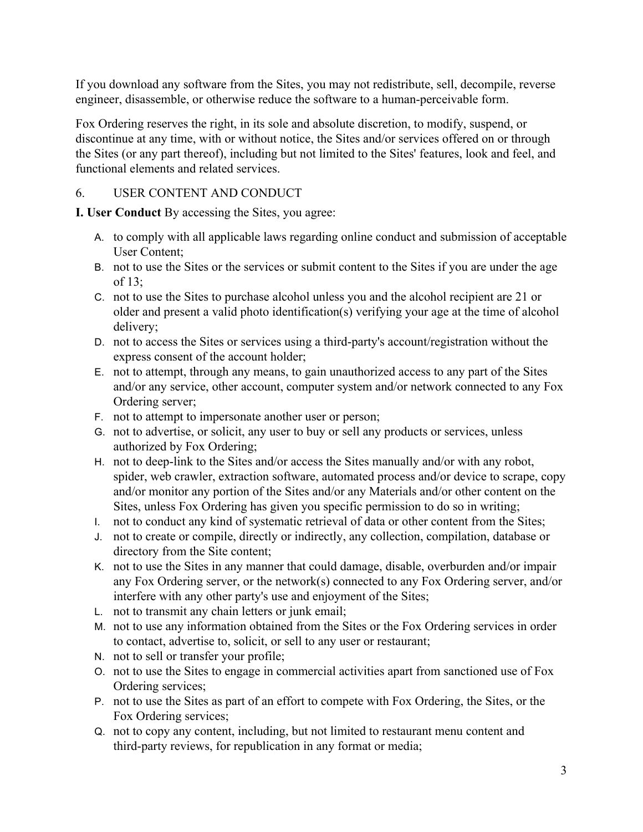If you download any software from the Sites, you may not redistribute, sell, decompile, reverse engineer, disassemble, or otherwise reduce the software to a human-perceivable form.

Fox Ordering reserves the right, in its sole and absolute discretion, to modify, suspend, or discontinue at any time, with or without notice, the Sites and/or services offered on or through the Sites (or any part thereof), including but not limited to the Sites' features, look and feel, and functional elements and related services.

# 6. USER CONTENT AND CONDUCT

**I. User Conduct** By accessing the Sites, you agree:

- A. to comply with all applicable laws regarding online conduct and submission of acceptable User Content;
- B. not to use the Sites or the services or submit content to the Sites if you are under the age of 13;
- C. not to use the Sites to purchase alcohol unless you and the alcohol recipient are 21 or older and present a valid photo identification(s) verifying your age at the time of alcohol delivery;
- D. not to access the Sites or services using a third-party's account/registration without the express consent of the account holder;
- E. not to attempt, through any means, to gain unauthorized access to any part of the Sites and/or any service, other account, computer system and/or network connected to any Fox Ordering server;
- F. not to attempt to impersonate another user or person;
- G. not to advertise, or solicit, any user to buy or sell any products or services, unless authorized by Fox Ordering;
- H. not to deep-link to the Sites and/or access the Sites manually and/or with any robot, spider, web crawler, extraction software, automated process and/or device to scrape, copy and/or monitor any portion of the Sites and/or any Materials and/or other content on the Sites, unless Fox Ordering has given you specific permission to do so in writing;
- I. not to conduct any kind of systematic retrieval of data or other content from the Sites;
- J. not to create or compile, directly or indirectly, any collection, compilation, database or directory from the Site content;
- K. not to use the Sites in any manner that could damage, disable, overburden and/or impair any Fox Ordering server, or the network(s) connected to any Fox Ordering server, and/or interfere with any other party's use and enjoyment of the Sites;
- L. not to transmit any chain letters or junk email;
- M. not to use any information obtained from the Sites or the Fox Ordering services in order to contact, advertise to, solicit, or sell to any user or restaurant;
- N. not to sell or transfer your profile;
- O. not to use the Sites to engage in commercial activities apart from sanctioned use of Fox Ordering services;
- P. not to use the Sites as part of an effort to compete with Fox Ordering, the Sites, or the Fox Ordering services;
- Q. not to copy any content, including, but not limited to restaurant menu content and third-party reviews, for republication in any format or media;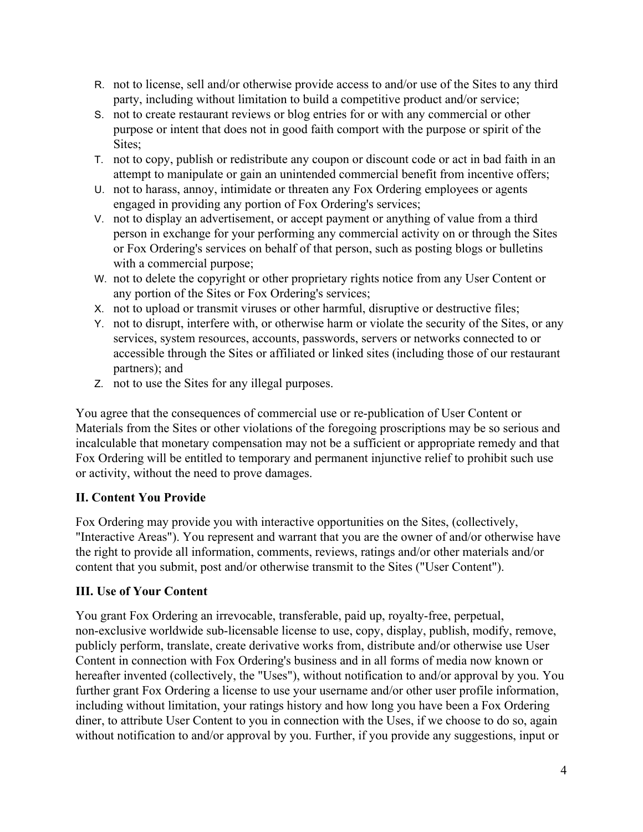- R. not to license, sell and/or otherwise provide access to and/or use of the Sites to any third party, including without limitation to build a competitive product and/or service;
- S. not to create restaurant reviews or blog entries for or with any commercial or other purpose or intent that does not in good faith comport with the purpose or spirit of the Sites;
- T. not to copy, publish or redistribute any coupon or discount code or act in bad faith in an attempt to manipulate or gain an unintended commercial benefit from incentive offers;
- U. not to harass, annoy, intimidate or threaten any Fox Ordering employees or agents engaged in providing any portion of Fox Ordering's services;
- V. not to display an advertisement, or accept payment or anything of value from a third person in exchange for your performing any commercial activity on or through the Sites or Fox Ordering's services on behalf of that person, such as posting blogs or bulletins with a commercial purpose;
- W. not to delete the copyright or other proprietary rights notice from any User Content or any portion of the Sites or Fox Ordering's services;
- X. not to upload or transmit viruses or other harmful, disruptive or destructive files;
- Y. not to disrupt, interfere with, or otherwise harm or violate the security of the Sites, or any services, system resources, accounts, passwords, servers or networks connected to or accessible through the Sites or affiliated or linked sites (including those of our restaurant partners); and
- Z. not to use the Sites for any illegal purposes.

You agree that the consequences of commercial use or re-publication of User Content or Materials from the Sites or other violations of the foregoing proscriptions may be so serious and incalculable that monetary compensation may not be a sufficient or appropriate remedy and that Fox Ordering will be entitled to temporary and permanent injunctive relief to prohibit such use or activity, without the need to prove damages.

# **II. Content You Provide**

Fox Ordering may provide you with interactive opportunities on the Sites, (collectively, "Interactive Areas"). You represent and warrant that you are the owner of and/or otherwise have the right to provide all information, comments, reviews, ratings and/or other materials and/or content that you submit, post and/or otherwise transmit to the Sites ("User Content").

# **III. Use of Your Content**

You grant Fox Ordering an irrevocable, transferable, paid up, royalty-free, perpetual, non-exclusive worldwide sub-licensable license to use, copy, display, publish, modify, remove, publicly perform, translate, create derivative works from, distribute and/or otherwise use User Content in connection with Fox Ordering's business and in all forms of media now known or hereafter invented (collectively, the "Uses"), without notification to and/or approval by you. You further grant Fox Ordering a license to use your username and/or other user profile information, including without limitation, your ratings history and how long you have been a Fox Ordering diner, to attribute User Content to you in connection with the Uses, if we choose to do so, again without notification to and/or approval by you. Further, if you provide any suggestions, input or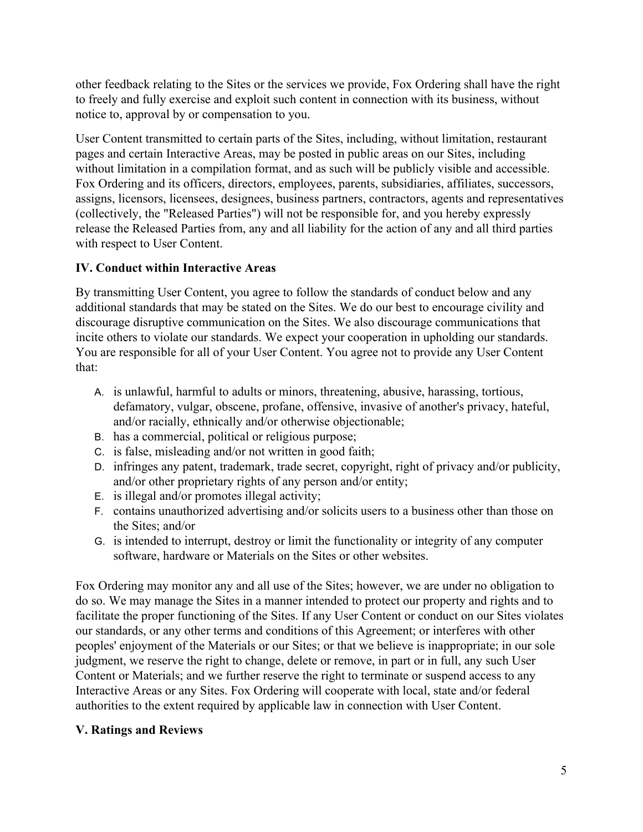other feedback relating to the Sites or the services we provide, Fox Ordering shall have the right to freely and fully exercise and exploit such content in connection with its business, without notice to, approval by or compensation to you.

User Content transmitted to certain parts of the Sites, including, without limitation, restaurant pages and certain Interactive Areas, may be posted in public areas on our Sites, including without limitation in a compilation format, and as such will be publicly visible and accessible. Fox Ordering and its officers, directors, employees, parents, subsidiaries, affiliates, successors, assigns, licensors, licensees, designees, business partners, contractors, agents and representatives (collectively, the "Released Parties") will not be responsible for, and you hereby expressly release the Released Parties from, any and all liability for the action of any and all third parties with respect to User Content.

# **IV. Conduct within Interactive Areas**

By transmitting User Content, you agree to follow the standards of conduct below and any additional standards that may be stated on the Sites. We do our best to encourage civility and discourage disruptive communication on the Sites. We also discourage communications that incite others to violate our standards. We expect your cooperation in upholding our standards. You are responsible for all of your User Content. You agree not to provide any User Content that:

- A. is unlawful, harmful to adults or minors, threatening, abusive, harassing, tortious, defamatory, vulgar, obscene, profane, offensive, invasive of another's privacy, hateful, and/or racially, ethnically and/or otherwise objectionable;
- B. has a commercial, political or religious purpose;
- C. is false, misleading and/or not written in good faith;
- D. infringes any patent, trademark, trade secret, copyright, right of privacy and/or publicity, and/or other proprietary rights of any person and/or entity;
- E. is illegal and/or promotes illegal activity;
- F. contains unauthorized advertising and/or solicits users to a business other than those on the Sites; and/or
- G. is intended to interrupt, destroy or limit the functionality or integrity of any computer software, hardware or Materials on the Sites or other websites.

Fox Ordering may monitor any and all use of the Sites; however, we are under no obligation to do so. We may manage the Sites in a manner intended to protect our property and rights and to facilitate the proper functioning of the Sites. If any User Content or conduct on our Sites violates our standards, or any other terms and conditions of this Agreement; or interferes with other peoples' enjoyment of the Materials or our Sites; or that we believe is inappropriate; in our sole judgment, we reserve the right to change, delete or remove, in part or in full, any such User Content or Materials; and we further reserve the right to terminate or suspend access to any Interactive Areas or any Sites. Fox Ordering will cooperate with local, state and/or federal authorities to the extent required by applicable law in connection with User Content.

#### **V. Ratings and Reviews**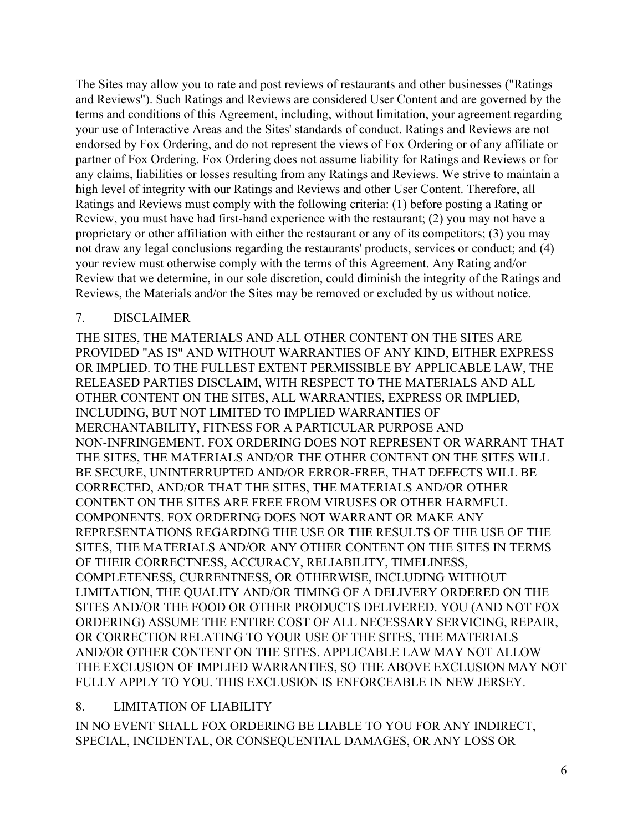The Sites may allow you to rate and post reviews of restaurants and other businesses ("Ratings and Reviews"). Such Ratings and Reviews are considered User Content and are governed by the terms and conditions of this Agreement, including, without limitation, your agreement regarding your use of Interactive Areas and the Sites' standards of conduct. Ratings and Reviews are not endorsed by Fox Ordering, and do not represent the views of Fox Ordering or of any affiliate or partner of Fox Ordering. Fox Ordering does not assume liability for Ratings and Reviews or for any claims, liabilities or losses resulting from any Ratings and Reviews. We strive to maintain a high level of integrity with our Ratings and Reviews and other User Content. Therefore, all Ratings and Reviews must comply with the following criteria: (1) before posting a Rating or Review, you must have had first-hand experience with the restaurant; (2) you may not have a proprietary or other affiliation with either the restaurant or any of its competitors; (3) you may not draw any legal conclusions regarding the restaurants' products, services or conduct; and (4) your review must otherwise comply with the terms of this Agreement. Any Rating and/or Review that we determine, in our sole discretion, could diminish the integrity of the Ratings and Reviews, the Materials and/or the Sites may be removed or excluded by us without notice.

#### 7. DISCLAIMER

THE SITES, THE MATERIALS AND ALL OTHER CONTENT ON THE SITES ARE PROVIDED "AS IS" AND WITHOUT WARRANTIES OF ANY KIND, EITHER EXPRESS OR IMPLIED. TO THE FULLEST EXTENT PERMISSIBLE BY APPLICABLE LAW, THE RELEASED PARTIES DISCLAIM, WITH RESPECT TO THE MATERIALS AND ALL OTHER CONTENT ON THE SITES, ALL WARRANTIES, EXPRESS OR IMPLIED, INCLUDING, BUT NOT LIMITED TO IMPLIED WARRANTIES OF MERCHANTABILITY, FITNESS FOR A PARTICULAR PURPOSE AND NON-INFRINGEMENT. FOX ORDERING DOES NOT REPRESENT OR WARRANT THAT THE SITES, THE MATERIALS AND/OR THE OTHER CONTENT ON THE SITES WILL BE SECURE, UNINTERRUPTED AND/OR ERROR-FREE, THAT DEFECTS WILL BE CORRECTED, AND/OR THAT THE SITES, THE MATERIALS AND/OR OTHER CONTENT ON THE SITES ARE FREE FROM VIRUSES OR OTHER HARMFUL COMPONENTS. FOX ORDERING DOES NOT WARRANT OR MAKE ANY REPRESENTATIONS REGARDING THE USE OR THE RESULTS OF THE USE OF THE SITES, THE MATERIALS AND/OR ANY OTHER CONTENT ON THE SITES IN TERMS OF THEIR CORRECTNESS, ACCURACY, RELIABILITY, TIMELINESS, COMPLETENESS, CURRENTNESS, OR OTHERWISE, INCLUDING WITHOUT LIMITATION, THE QUALITY AND/OR TIMING OF A DELIVERY ORDERED ON THE SITES AND/OR THE FOOD OR OTHER PRODUCTS DELIVERED. YOU (AND NOT FOX ORDERING) ASSUME THE ENTIRE COST OF ALL NECESSARY SERVICING, REPAIR, OR CORRECTION RELATING TO YOUR USE OF THE SITES, THE MATERIALS AND/OR OTHER CONTENT ON THE SITES. APPLICABLE LAW MAY NOT ALLOW THE EXCLUSION OF IMPLIED WARRANTIES, SO THE ABOVE EXCLUSION MAY NOT FULLY APPLY TO YOU. THIS EXCLUSION IS ENFORCEABLE IN NEW JERSEY.

#### 8. LIMITATION OF LIABILITY

IN NO EVENT SHALL FOX ORDERING BE LIABLE TO YOU FOR ANY INDIRECT, SPECIAL, INCIDENTAL, OR CONSEQUENTIAL DAMAGES, OR ANY LOSS OR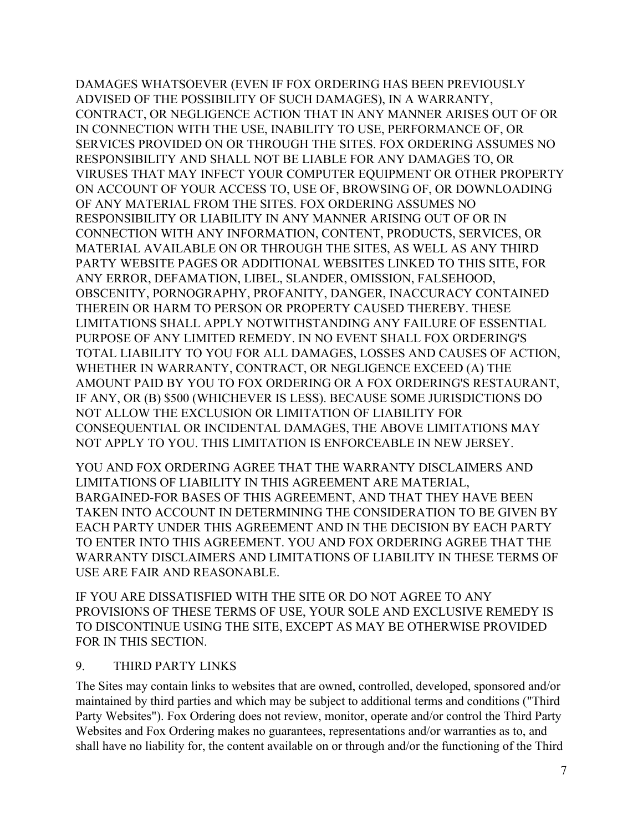DAMAGES WHATSOEVER (EVEN IF FOX ORDERING HAS BEEN PREVIOUSLY ADVISED OF THE POSSIBILITY OF SUCH DAMAGES), IN A WARRANTY, CONTRACT, OR NEGLIGENCE ACTION THAT IN ANY MANNER ARISES OUT OF OR IN CONNECTION WITH THE USE, INABILITY TO USE, PERFORMANCE OF, OR SERVICES PROVIDED ON OR THROUGH THE SITES. FOX ORDERING ASSUMES NO RESPONSIBILITY AND SHALL NOT BE LIABLE FOR ANY DAMAGES TO, OR VIRUSES THAT MAY INFECT YOUR COMPUTER EQUIPMENT OR OTHER PROPERTY ON ACCOUNT OF YOUR ACCESS TO, USE OF, BROWSING OF, OR DOWNLOADING OF ANY MATERIAL FROM THE SITES. FOX ORDERING ASSUMES NO RESPONSIBILITY OR LIABILITY IN ANY MANNER ARISING OUT OF OR IN CONNECTION WITH ANY INFORMATION, CONTENT, PRODUCTS, SERVICES, OR MATERIAL AVAILABLE ON OR THROUGH THE SITES, AS WELL AS ANY THIRD PARTY WEBSITE PAGES OR ADDITIONAL WEBSITES LINKED TO THIS SITE, FOR ANY ERROR, DEFAMATION, LIBEL, SLANDER, OMISSION, FALSEHOOD, OBSCENITY, PORNOGRAPHY, PROFANITY, DANGER, INACCURACY CONTAINED THEREIN OR HARM TO PERSON OR PROPERTY CAUSED THEREBY. THESE LIMITATIONS SHALL APPLY NOTWITHSTANDING ANY FAILURE OF ESSENTIAL PURPOSE OF ANY LIMITED REMEDY. IN NO EVENT SHALL FOX ORDERING'S TOTAL LIABILITY TO YOU FOR ALL DAMAGES, LOSSES AND CAUSES OF ACTION, WHETHER IN WARRANTY, CONTRACT, OR NEGLIGENCE EXCEED (A) THE AMOUNT PAID BY YOU TO FOX ORDERING OR A FOX ORDERING'S RESTAURANT, IF ANY, OR (B) \$500 (WHICHEVER IS LESS). BECAUSE SOME JURISDICTIONS DO NOT ALLOW THE EXCLUSION OR LIMITATION OF LIABILITY FOR CONSEQUENTIAL OR INCIDENTAL DAMAGES, THE ABOVE LIMITATIONS MAY NOT APPLY TO YOU. THIS LIMITATION IS ENFORCEABLE IN NEW JERSEY.

YOU AND FOX ORDERING AGREE THAT THE WARRANTY DISCLAIMERS AND LIMITATIONS OF LIABILITY IN THIS AGREEMENT ARE MATERIAL, BARGAINED-FOR BASES OF THIS AGREEMENT, AND THAT THEY HAVE BEEN TAKEN INTO ACCOUNT IN DETERMINING THE CONSIDERATION TO BE GIVEN BY EACH PARTY UNDER THIS AGREEMENT AND IN THE DECISION BY EACH PARTY TO ENTER INTO THIS AGREEMENT. YOU AND FOX ORDERING AGREE THAT THE WARRANTY DISCLAIMERS AND LIMITATIONS OF LIABILITY IN THESE TERMS OF USE ARE FAIR AND REASONABLE.

IF YOU ARE DISSATISFIED WITH THE SITE OR DO NOT AGREE TO ANY PROVISIONS OF THESE TERMS OF USE, YOUR SOLE AND EXCLUSIVE REMEDY IS TO DISCONTINUE USING THE SITE, EXCEPT AS MAY BE OTHERWISE PROVIDED FOR IN THIS SECTION.

#### 9. THIRD PARTY LINKS

The Sites may contain links to websites that are owned, controlled, developed, sponsored and/or maintained by third parties and which may be subject to additional terms and conditions ("Third Party Websites"). Fox Ordering does not review, monitor, operate and/or control the Third Party Websites and Fox Ordering makes no guarantees, representations and/or warranties as to, and shall have no liability for, the content available on or through and/or the functioning of the Third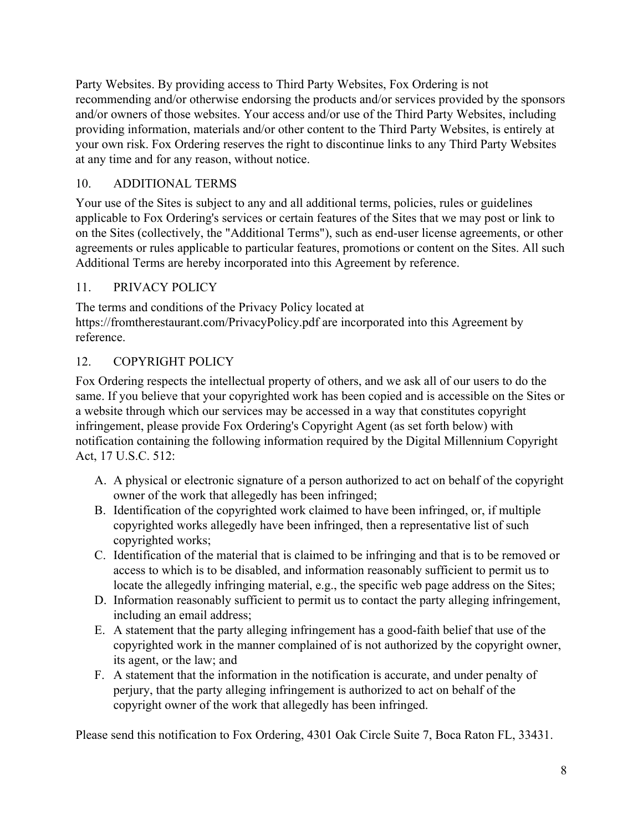Party Websites. By providing access to Third Party Websites, Fox Ordering is not recommending and/or otherwise endorsing the products and/or services provided by the sponsors and/or owners of those websites. Your access and/or use of the Third Party Websites, including providing information, materials and/or other content to the Third Party Websites, is entirely at your own risk. Fox Ordering reserves the right to discontinue links to any Third Party Websites at any time and for any reason, without notice.

# 10. ADDITIONAL TERMS

Your use of the Sites is subject to any and all additional terms, policies, rules or guidelines applicable to Fox Ordering's services or certain features of the Sites that we may post or link to on the Sites (collectively, the "Additional Terms"), such as end-user license agreements, or other agreements or rules applicable to particular features, promotions or content on the Sites. All such Additional Terms are hereby incorporated into this Agreement by reference.

# 11. PRIVACY POLICY

The terms and conditions of the Privacy Policy located at https://fromtherestaurant.com/PrivacyPolicy.pdf are incorporated into this Agreement by reference.

# 12. COPYRIGHT POLICY

Fox Ordering respects the intellectual property of others, and we ask all of our users to do the same. If you believe that your copyrighted work has been copied and is accessible on the Sites or a website through which our services may be accessed in a way that constitutes copyright infringement, please provide Fox Ordering's Copyright Agent (as set forth below) with notification containing the following information required by the Digital Millennium Copyright Act, 17 U.S.C. 512:

- A. A physical or electronic signature of a person authorized to act on behalf of the copyright owner of the work that allegedly has been infringed;
- B. Identification of the copyrighted work claimed to have been infringed, or, if multiple copyrighted works allegedly have been infringed, then a representative list of such copyrighted works;
- C. Identification of the material that is claimed to be infringing and that is to be removed or access to which is to be disabled, and information reasonably sufficient to permit us to locate the allegedly infringing material, e.g., the specific web page address on the Sites;
- D. Information reasonably sufficient to permit us to contact the party alleging infringement, including an email address;
- E. A statement that the party alleging infringement has a good-faith belief that use of the copyrighted work in the manner complained of is not authorized by the copyright owner, its agent, or the law; and
- F. A statement that the information in the notification is accurate, and under penalty of perjury, that the party alleging infringement is authorized to act on behalf of the copyright owner of the work that allegedly has been infringed.

Please send this notification to Fox Ordering, 4301 Oak Circle Suite 7, Boca Raton FL, 33431.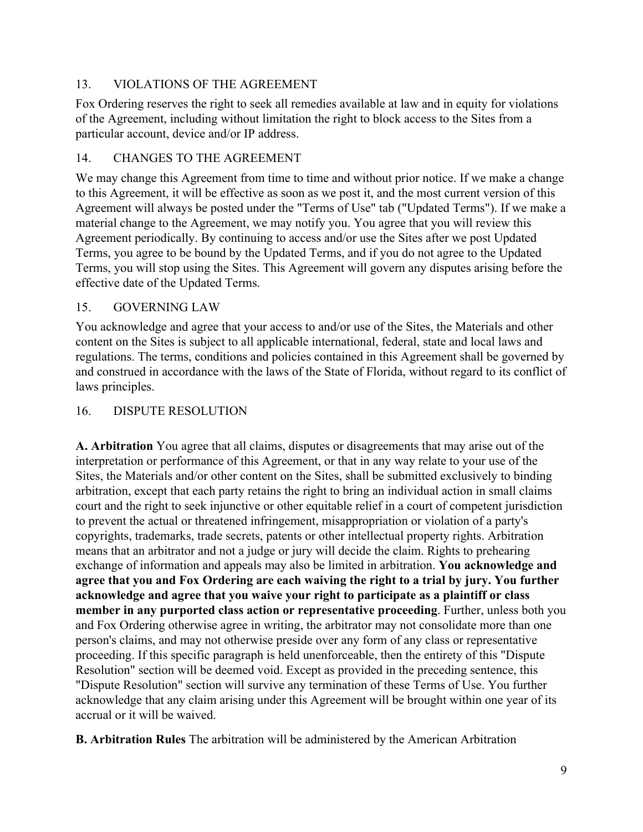# 13. VIOLATIONS OF THE AGREEMENT

Fox Ordering reserves the right to seek all remedies available at law and in equity for violations of the Agreement, including without limitation the right to block access to the Sites from a particular account, device and/or IP address.

# 14. CHANGES TO THE AGREEMENT

We may change this Agreement from time to time and without prior notice. If we make a change to this Agreement, it will be effective as soon as we post it, and the most current version of this Agreement will always be posted under the "Terms of Use" tab ("Updated Terms"). If we make a material change to the Agreement, we may notify you. You agree that you will review this Agreement periodically. By continuing to access and/or use the Sites after we post Updated Terms, you agree to be bound by the Updated Terms, and if you do not agree to the Updated Terms, you will stop using the Sites. This Agreement will govern any disputes arising before the effective date of the Updated Terms.

# 15. GOVERNING LAW

You acknowledge and agree that your access to and/or use of the Sites, the Materials and other content on the Sites is subject to all applicable international, federal, state and local laws and regulations. The terms, conditions and policies contained in this Agreement shall be governed by and construed in accordance with the laws of the State of Florida, without regard to its conflict of laws principles.

## 16. DISPUTE RESOLUTION

**A. Arbitration** You agree that all claims, disputes or disagreements that may arise out of the interpretation or performance of this Agreement, or that in any way relate to your use of the Sites, the Materials and/or other content on the Sites, shall be submitted exclusively to binding arbitration, except that each party retains the right to bring an individual action in small claims court and the right to seek injunctive or other equitable relief in a court of competent jurisdiction to prevent the actual or threatened infringement, misappropriation or violation of a party's copyrights, trademarks, trade secrets, patents or other intellectual property rights. Arbitration means that an arbitrator and not a judge or jury will decide the claim. Rights to prehearing exchange of information and appeals may also be limited in arbitration. **You acknowledge and agree that you and Fox Ordering are each waiving the right to a trial by jury. You further acknowledge and agree that you waive your right to participate as a plaintiff or class member in any purported class action or representative proceeding**. Further, unless both you and Fox Ordering otherwise agree in writing, the arbitrator may not consolidate more than one person's claims, and may not otherwise preside over any form of any class or representative proceeding. If this specific paragraph is held unenforceable, then the entirety of this "Dispute Resolution" section will be deemed void. Except as provided in the preceding sentence, this "Dispute Resolution" section will survive any termination of these Terms of Use. You further acknowledge that any claim arising under this Agreement will be brought within one year of its accrual or it will be waived.

**B. Arbitration Rules** The arbitration will be administered by the American Arbitration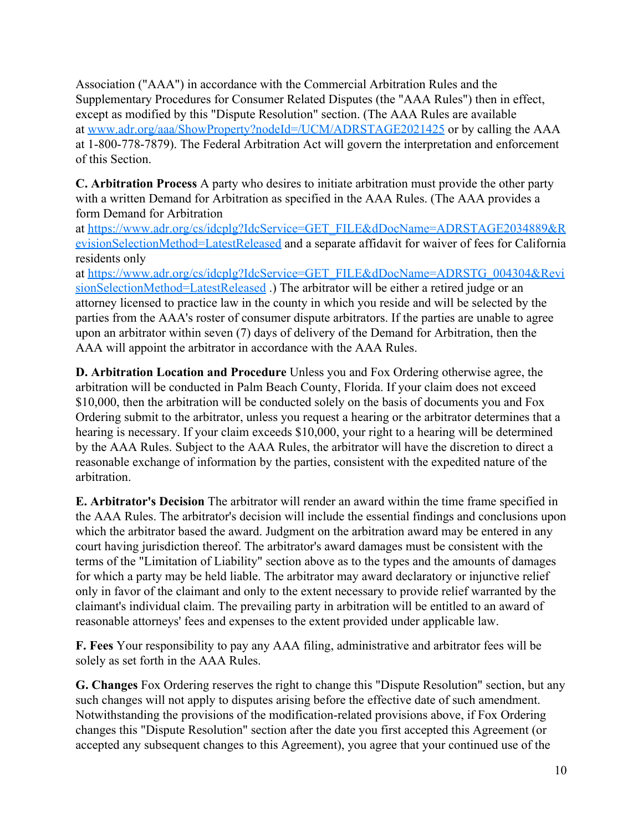Association ("AAA") in accordance with the Commercial Arbitration Rules and the Supplementary Procedures for Consumer Related Disputes (the "AAA Rules") then in effect, except as modified by this "Dispute Resolution" section. (The AAA Rules are available at www.adr.org/aaa/ShowProperty?nodeId=/UCM/ADRSTAGE2021425 or by calling the AAA at 1-800-778-7879). The Federal Arbitration Act will govern the interpretation and enforcement of this Section.

**C. Arbitration Process** A party who desires to initiate arbitration must provide the other party with a written Demand for Arbitration as specified in the AAA Rules. (The AAA provides a form Demand for Arbitration

at [https://www.adr.org/cs/idcplg?IdcService=GET\\_FILE&dDocName=ADRSTAGE2034889&R](https://www.adr.org/cs/idcplg?IdcService=GET_FILE&dDocName=ADRSTAGE2034889&RevisionSelectionMethod=LatestReleased) [evisionSelectionMethod=LatestReleased](https://www.adr.org/cs/idcplg?IdcService=GET_FILE&dDocName=ADRSTAGE2034889&RevisionSelectionMethod=LatestReleased) and a separate affidavit for waiver of fees for California residents only

at [https://www.adr.org/cs/idcplg?IdcService=GET\\_FILE&dDocName=ADRSTG\\_004304&Revi](https://www.adr.org/cs/idcplg?IdcService=GET_FILE&dDocName=ADRSTG_004304&RevisionSelectionMethod=LatestReleased) [sionSelectionMethod=LatestReleased](https://www.adr.org/cs/idcplg?IdcService=GET_FILE&dDocName=ADRSTG_004304&RevisionSelectionMethod=LatestReleased) .) The arbitrator will be either a retired judge or an attorney licensed to practice law in the county in which you reside and will be selected by the parties from the AAA's roster of consumer dispute arbitrators. If the parties are unable to agree upon an arbitrator within seven (7) days of delivery of the Demand for Arbitration, then the AAA will appoint the arbitrator in accordance with the AAA Rules.

**D. Arbitration Location and Procedure** Unless you and Fox Ordering otherwise agree, the arbitration will be conducted in Palm Beach County, Florida. If your claim does not exceed \$10,000, then the arbitration will be conducted solely on the basis of documents you and Fox Ordering submit to the arbitrator, unless you request a hearing or the arbitrator determines that a hearing is necessary. If your claim exceeds \$10,000, your right to a hearing will be determined by the AAA Rules. Subject to the AAA Rules, the arbitrator will have the discretion to direct a reasonable exchange of information by the parties, consistent with the expedited nature of the arbitration.

**E. Arbitrator's Decision** The arbitrator will render an award within the time frame specified in the AAA Rules. The arbitrator's decision will include the essential findings and conclusions upon which the arbitrator based the award. Judgment on the arbitration award may be entered in any court having jurisdiction thereof. The arbitrator's award damages must be consistent with the terms of the "Limitation of Liability" section above as to the types and the amounts of damages for which a party may be held liable. The arbitrator may award declaratory or injunctive relief only in favor of the claimant and only to the extent necessary to provide relief warranted by the claimant's individual claim. The prevailing party in arbitration will be entitled to an award of reasonable attorneys' fees and expenses to the extent provided under applicable law.

**F. Fees** Your responsibility to pay any AAA filing, administrative and arbitrator fees will be solely as set forth in the AAA Rules.

**G. Changes** Fox Ordering reserves the right to change this "Dispute Resolution" section, but any such changes will not apply to disputes arising before the effective date of such amendment. Notwithstanding the provisions of the modification-related provisions above, if Fox Ordering changes this "Dispute Resolution" section after the date you first accepted this Agreement (or accepted any subsequent changes to this Agreement), you agree that your continued use of the